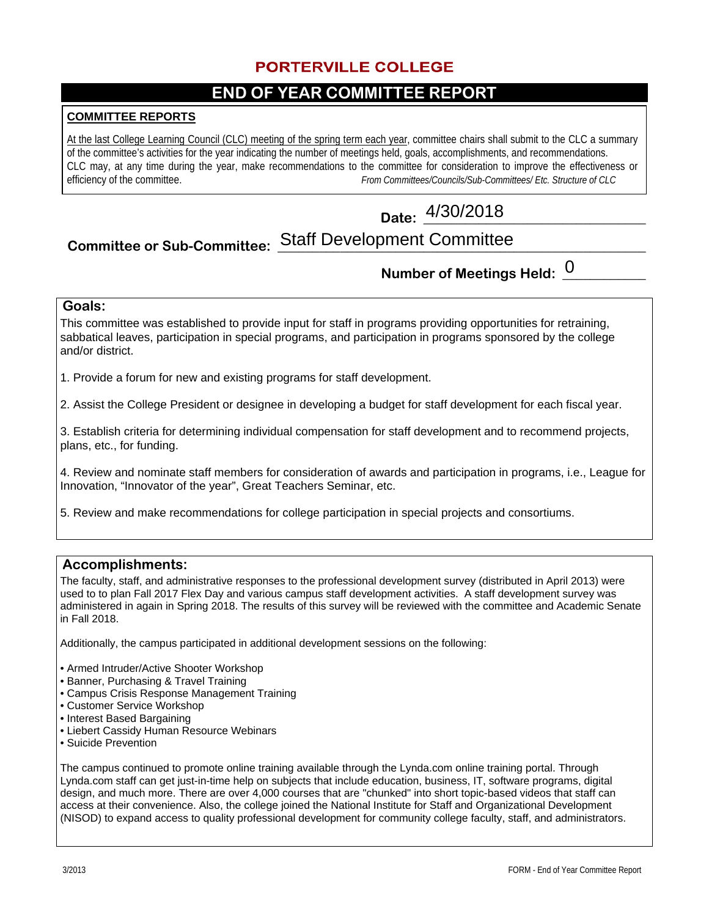### **PORTERVILLE COLLEGE**

### **END OF YEAR COMMITTEE REPORT**

#### **COMMITTEE REPORTS**

At the last College Learning Council (CLC) meeting of the spring term each year, committee chairs shall submit to the CLC a summary of the committee's activities for the year indicating the number of meetings held, goals, accomplishments, and recommendations. CLC may, at any time during the year, make recommendations to the committee for consideration to improve the effectiveness or efficiency of the committee.<br>From Committees/Councils/Sub-Committees/Etc. Structure of CLC From Committees/Councils/Sub-Committees/ Etc. Structure of CLC

# **Date: \_\_\_\_\_\_\_\_\_\_\_\_\_\_\_\_\_\_\_\_\_\_\_\_\_\_\_\_\_\_\_\_** 4/30/2018

# Committee or Sub-Committee: Staff Development Committee www.committeenter.com

## **Number of Meetings Held: \_\_\_\_\_\_\_\_\_\_\_\_** 0

### **Goals:**

This committee was established to provide input for staff in programs providing opportunities for retraining, sabbatical leaves, participation in special programs, and participation in programs sponsored by the college and/or district.

1. Provide a forum for new and existing programs for staff development.

2. Assist the College President or designee in developing a budget for staff development for each fiscal year.

3. Establish criteria for determining individual compensation for staff development and to recommend projects, plans, etc., for funding.

4. Review and nominate staff members for consideration of awards and participation in programs, i.e., League for Innovation, "Innovator of the year", Great Teachers Seminar, etc.

5. Review and make recommendations for college participation in special projects and consortiums.

#### **Accomplishments:**

The faculty, staff, and administrative responses to the professional development survey (distributed in April 2013) were used to to plan Fall 2017 Flex Day and various campus staff development activities. A staff development survey was administered in again in Spring 2018. The results of this survey will be reviewed with the committee and Academic Senate in Fall 2018.

Additionally, the campus participated in additional development sessions on the following:

- Armed Intruder/Active Shooter Workshop
- Banner, Purchasing & Travel Training
- Campus Crisis Response Management Training
- Customer Service Workshop
- Interest Based Bargaining
- Liebert Cassidy Human Resource Webinars
- Suicide Prevention

The campus continued to promote online training available through the Lynda.com online training portal. Through Lynda.com staff can get just-in-time help on subjects that include education, business, IT, software programs, digital design, and much more. There are over 4,000 courses that are "chunked" into short topic-based videos that staff can access at their convenience. Also, the college joined the National Institute for Staff and Organizational Development (NISOD) to expand access to quality professional development for community college faculty, staff, and administrators.